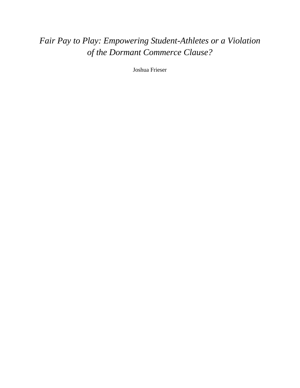# *Fair Pay to Play: Empowering Student-Athletes or a Violation of the Dormant Commerce Clause?*

Joshua Frieser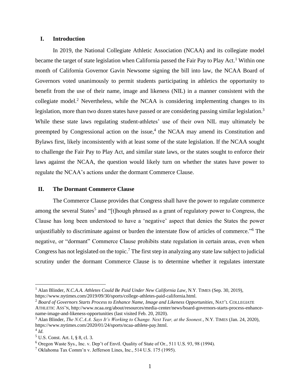## **I. Introduction**

In 2019, the National Collegiate Athletic Association (NCAA) and its collegiate model became the target of state legislation when California passed the Fair Pay to Play Act.<sup>1</sup> Within one month of California Governor Gavin Newsome signing the bill into law, the NCAA Board of Governors voted unanimously to permit students participating in athletics the opportunity to benefit from the use of their name, image and likeness (NIL) in a manner consistent with the collegiate model.<sup>2</sup> Nevertheless, while the NCAA is considering implementing changes to its legislation, more than two dozen states have passed or are considering passing similar legislation.<sup>3</sup> While these state laws regulating student-athletes' use of their own NIL may ultimately be preempted by Congressional action on the issue,<sup>4</sup> the NCAA may amend its Constitution and Bylaws first, likely inconsistently with at least some of the state legislation. If the NCAA sought to challenge the Fair Pay to Play Act, and similar state laws, or the states sought to enforce their laws against the NCAA, the question would likely turn on whether the states have power to regulate the NCAA's actions under the dormant Commerce Clause.

### **II. The Dormant Commerce Clause**

The Commerce Clause provides that Congress shall have the power to regulate commerce among the several States<sup>5</sup> and "[t]hough phrased as a grant of regulatory power to Congress, the Clause has long been understood to have a 'negative' aspect that denies the States the power unjustifiably to discriminate against or burden the interstate flow of articles of commerce." <sup>6</sup> The negative, or "dormant" Commerce Clause prohibits state regulation in certain areas, even when Congress has not legislated on the topic.<sup>7</sup> The first step in analyzing any state law subject to judicial scrutiny under the dormant Commerce Clause is to determine whether it regulates interstate

<sup>1</sup> Alan Blinder, *N.C.A.A. Athletes Could Be Paid Under New California Law*, N.Y. TIMES (Sep. 30, 2019), https://www.nytimes.com/2019/09/30/sports/college-athletes-paid-california.html.

<sup>2</sup> *Board of Governors Starts Process to Enhance Name, Image and Likeness Opportunities*, NAT'<sup>L</sup> COLLEGIATE ATHLETIC ASS'N, http://www.ncaa.org/about/resources/media-center/news/board-governors-starts-process-enhancename-image-and-likeness-opportunities (last visited Feb. 20, 2020).

<sup>3</sup> Alan Blinder, *The N.C.A.A. Says It's Working to Change. Next Year, at the Soonest.*, N.Y. TIMES (Jan. 24, 2020), https://www.nytimes.com/2020/01/24/sports/ncaa-athlete-pay.html.

<sup>4</sup> *Id.*

<sup>5</sup> U.S. Const. Art. I, § 8, cl. 3.

<sup>6</sup> Oregon Waste Sys., Inc. v. Dep't of Envtl. Quality of State of Or., 511 U.S. 93, 98 (1994).

<sup>7</sup> Oklahoma Tax Comm'n v. Jefferson Lines, Inc., 514 U.S. 175 (1995).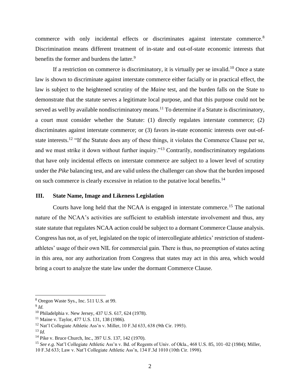commerce with only incidental effects or discriminates against interstate commerce.<sup>8</sup> Discrimination means different treatment of in-state and out-of-state economic interests that benefits the former and burdens the latter.<sup>9</sup>

If a restriction on commerce is discriminatory, it is virtually per se invalid.<sup>10</sup> Once a state law is shown to discriminate against interstate commerce either facially or in practical effect, the law is subject to the heightened scrutiny of the *Maine* test, and the burden falls on the State to demonstrate that the statute serves a legitimate local purpose, and that this purpose could not be served as well by available nondiscriminatory means.<sup>11</sup> To determine if a Statute is discriminatory, a court must consider whether the Statute: (1) directly regulates interstate commerce; (2) discriminates against interstate commerce; or (3) favors in-state economic interests over out-ofstate interests.<sup>12</sup> "If the Statute does any of these things, it violates the Commerce Clause per se, and we must strike it down without further inquiry."<sup>13</sup> Contrarily, nondiscriminatory regulations that have only incidental effects on interstate commerce are subject to a lower level of scrutiny under the *Pike* balancing test, and are valid unless the challenger can show that the burden imposed on such commerce is clearly excessive in relation to the putative local benefits.<sup>14</sup>

#### **III. State Name, Image and Likeness Legislation**

Courts have long held that the NCAA is engaged in interstate commerce.<sup>15</sup> The national nature of the NCAA's activities are sufficient to establish interstate involvement and thus, any state statute that regulates NCAA action could be subject to a dormant Commerce Clause analysis. Congress has not, as of yet, legislated on the topic of intercollegiate athletics' restriction of studentathletes' usage of their own NIL for commercial gain. There is thus, no preemption of states acting in this area, nor any authorization from Congress that states may act in this area, which would bring a court to analyze the state law under the dormant Commerce Clause.

<sup>8</sup> Oregon Waste Sys., Inc. 511 U.S. at 99.

<sup>9</sup> *Id.*

<sup>10</sup> Philadelphia v. New Jersey, 437 U.S. 617, 624 (1978).

<sup>11</sup> Maine v. Taylor, 477 U.S. 131, 138 (1986).

 $12$  Nat'l Collegiate Athletic Ass'n v. Miller, 10 F.3d 633, 638 (9th Cir. 1993).

<sup>13</sup> *Id.*

<sup>14</sup> Pike v. Bruce Church, Inc., 397 U.S. 137, 142 (1970).

<sup>15</sup> *See e.g.* Nat'l Collegiate Athletic Ass'n v. Bd. of Regents of Univ. of Okla., 468 U.S. 85, 101–02 (1984); Miller, 10 F.3d 633; Law v. Nat'l Collegiate Athletic Ass'n, 134 F.3d 1010 (10th Cir. 1998).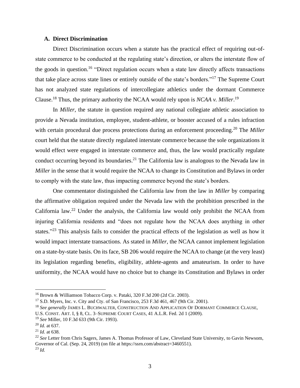#### **A. Direct Discrimination**

Direct Discrimination occurs when a statute has the practical effect of requiring out-ofstate commerce to be conducted at the regulating state's direction, or alters the interstate flow of the goods in question.<sup>16</sup> "Direct regulation occurs when a state law directly affects transactions that take place across state lines or entirely outside of the state's borders."<sup>17</sup> The Supreme Court has not analyzed state regulations of intercollegiate athletics under the dormant Commerce Clause.<sup>18</sup> Thus, the primary authority the NCAA would rely upon is *NCAA v. Miller*. 19

In *Miller*, the statute in question required any national collegiate athletic association to provide a Nevada institution, employee, student-athlete, or booster accused of a rules infraction with certain procedural due process protections during an enforcement proceeding.<sup>20</sup> The *Miller* court held that the statute directly regulated interstate commerce because the sole organizations it would effect were engaged in interstate commerce and, thus, the law would practically regulate conduct occurring beyond its boundaries.<sup>21</sup> The California law is analogous to the Nevada law in *Miller* in the sense that it would require the NCAA to change its Constitution and Bylaws in order to comply with the state law, thus impacting commerce beyond the state's borders.

One commentator distinguished the California law from the law in *Miller* by comparing the affirmative obligation required under the Nevada law with the prohibition prescribed in the California law.<sup>22</sup> Under the analysis, the California law would only prohibit the NCAA from injuring California residents and "does not regulate how the NCAA does anything in other states."<sup>23</sup> This analysis fails to consider the practical effects of the legislation as well as how it would impact interstate transactions. As stated in *Miller*, the NCAA cannot implement legislation on a state-by-state basis. On its face, SB 206 would require the NCAA to change (at the very least) its legislation regarding benefits, eligibility, athlete-agents and amateurism. In order to have uniformity, the NCAA would have no choice but to change its Constitution and Bylaws in order

<sup>16</sup> Brown & Williamson Tobacco Corp. v. Pataki, 320 F.3d 200 (2d Cir. 2003).

 $17$  S.D. Myers, Inc. v. City and Cty. of San Francisco, 253 F.3d 461, 467 (9th Cir. 2001).

<sup>18</sup> *See generally* JAMES L. BUCHWALTER, CONSTRUCTION AND APPLICATION O<sup>F</sup> DORMANT COMMERCE CLAUSE,

U.S. CONST. ART. I, § 8, CL. 3–SUPREME COURT CASES, 41 A.L.R. Fed. 2d 1 (2009).

<sup>19</sup> *See* Miller, 10 F.3d 633 (9th Cir. 1993).

<sup>20</sup> *Id.* at 637.

<sup>21</sup> *Id.* at 638.

<sup>22</sup> *See* Letter from Chris Sagers, James A. Thomas Professor of Law, Cleveland State University, to Gavin Newsom, Governor of Cal. (Sep. 24, 2019) (on file at https://ssrn.com/abstract=3460551). <sup>23</sup> *Id.*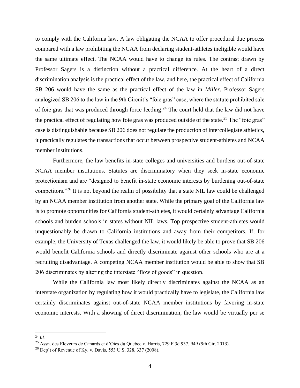to comply with the California law. A law obligating the NCAA to offer procedural due process compared with a law prohibiting the NCAA from declaring student-athletes ineligible would have the same ultimate effect. The NCAA would have to change its rules. The contrast drawn by Professor Sagers is a distinction without a practical difference. At the heart of a direct discrimination analysis is the practical effect of the law, and here, the practical effect of California SB 206 would have the same as the practical effect of the law in *Miller*. Professor Sagers analogized SB 206 to the law in the 9th Circuit's "foie gras" case, where the statute prohibited sale of foie gras that was produced through force feeding.<sup>24</sup> The court held that the law did not have the practical effect of regulating how foie gras was produced outside of the state.<sup>25</sup> The "foie gras" case is distinguishable because SB 206 does not regulate the production of intercollegiate athletics, it practically regulates the transactions that occur between prospective student-athletes and NCAA member institutions.

Furthermore, the law benefits in-state colleges and universities and burdens out-of-state NCAA member institutions. Statutes are discriminatory when they seek in-state economic protectionism and are "designed to benefit in-state economic interests by burdening out-of-state competitors."<sup>26</sup> It is not beyond the realm of possibility that a state NIL law could be challenged by an NCAA member institution from another state. While the primary goal of the California law is to promote opportunities for California student-athletes, it would certainly advantage California schools and burden schools in states without NIL laws. Top prospective student-athletes would unquestionably be drawn to California institutions and away from their competitors. If, for example, the University of Texas challenged the law, it would likely be able to prove that SB 206 would benefit California schools and directly discriminate against other schools who are at a recruiting disadvantage. A competing NCAA member institution would be able to show that SB 206 discriminates by altering the interstate "flow of goods" in question.

While the California law most likely directly discriminates against the NCAA as an interstate organization by regulating how it would practically have to legislate, the California law certainly discriminates against out-of-state NCAA member institutions by favoring in-state economic interests. With a showing of direct discrimination, the law would be virtually per se

<sup>24</sup> *Id.*

<sup>25</sup> Assn. des Eleveurs de Canards et d'Oies du Quebec v. Harris, 729 F.3d 937, 949 (9th Cir. 2013).

<sup>&</sup>lt;sup>26</sup> Dep't of Revenue of Ky. v. Davis, 553 U.S. 328, 337 (2008).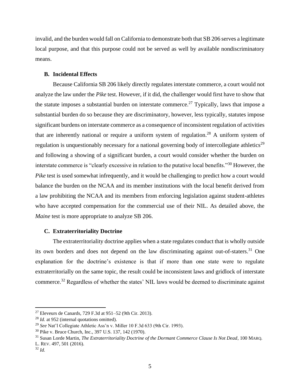invalid, and the burden would fall on California to demonstrate both that SB 206 serves a legitimate local purpose, and that this purpose could not be served as well by available nondiscriminatory means.

### **B. Incidental Effects**

Because California SB 206 likely directly regulates interstate commerce, a court would not analyze the law under the *Pike* test. However, if it did, the challenger would first have to show that the statute imposes a substantial burden on interstate commerce.<sup>27</sup> Typically, laws that impose a substantial burden do so because they are discriminatory, however, less typically, statutes impose significant burdens on interstate commerce as a consequence of inconsistent regulation of activities that are inherently national or require a uniform system of regulation.<sup>28</sup> A uniform system of regulation is unquestionably necessary for a national governing body of intercollegiate athletics<sup>29</sup> and following a showing of a significant burden, a court would consider whether the burden on interstate commerce is "clearly excessive in relation to the putative local benefits."<sup>30</sup> However, the *Pike* test is used somewhat infrequently, and it would be challenging to predict how a court would balance the burden on the NCAA and its member institutions with the local benefit derived from a law prohibiting the NCAA and its members from enforcing legislation against student-athletes who have accepted compensation for the commercial use of their NIL. As detailed above, the *Maine* test is more appropriate to analyze SB 206.

## **C. Extraterritoriality Doctrine**

The extraterritoriality doctrine applies when a state regulates conduct that is wholly outside its own borders and does not depend on the law discriminating against out-of-staters.<sup>31</sup> One explanation for the doctrine's existence is that if more than one state were to regulate extraterritorially on the same topic, the result could be inconsistent laws and gridlock of interstate commerce.<sup>32</sup> Regardless of whether the states' NIL laws would be deemed to discriminate against

<sup>&</sup>lt;sup>27</sup> Eleveurs de Canards, 729 F.3d at  $951-52$  (9th Cir. 2013).

<sup>28</sup> *Id.* at 952 (internal quotations omitted).

<sup>29</sup> *See* Nat'l Collegiate Athletic Ass'n v. Miller 10 F.3d 633 (9th Cir. 1993).

<sup>30</sup> Pike v. Bruce Church, Inc., 397 U.S. 137, 142 (1970).

<sup>31</sup> Susan Lorde Martin, *The Extraterritoriality Doctrine of the Dormant Commerce Clause Is Not Dead*, 100 MARQ. L. REV. 497, 501 (2016).

<sup>32</sup> *Id.*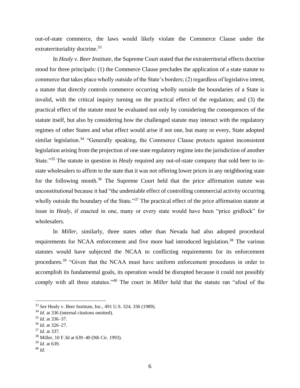out-of-state commerce, the laws would likely violate the Commerce Clause under the extraterritoriality doctrine.<sup>33</sup>

In *Healy v. Beer Institute*, the Supreme Court stated that the extraterritorial effects doctrine stood for three principals: (1) the Commerce Clause precludes the application of a state statute to commerce that takes place wholly outside of the State's borders; (2) regardless of legislative intent, a statute that directly controls commerce occurring wholly outside the boundaries of a State is invalid, with the critical inquiry turning on the practical effect of the regulation; and (3) the practical effect of the statute must be evaluated not only by considering the consequences of the statute itself, but also by considering how the challenged statute may interact with the regulatory regimes of other States and what effect would arise if not one, but many or every, State adopted similar legislation.<sup>34</sup> "Generally speaking, the Commerce Clause protects against inconsistent legislation arising from the projection of one state regulatory regime into the jurisdiction of another State."<sup>35</sup> The statute in question in *Healy* required any out-of-state company that sold beer to instate wholesalers to affirm to the state that it was not offering lower prices in any neighboring state for the following month.<sup>36</sup> The Supreme Court held that the price affirmation statute was unconstitutional because it had "the undeniable effect of controlling commercial activity occurring wholly outside the boundary of the State."<sup>37</sup> The practical effect of the price affirmation statute at issue in *Healy*, if enacted in one, many or every state would have been "price gridlock" for wholesalers.

In *Miller*, similarly, three states other than Nevada had also adopted procedural requirements for NCAA enforcement and five more had introduced legislation.<sup>38</sup> The various statutes would have subjected the NCAA to conflicting requirements for its enforcement procedures.<sup>39</sup> "Given that the NCAA must have uniform enforcement procedures in order to accomplish its fundamental goals, its operation would be disrupted because it could not possibly comply with all three statutes."<sup>40</sup> The court in *Miller* held that the statute ran "afoul of the

<sup>33</sup> *See* Healy v. Beer Institute, Inc., 491 U.S. 324, 336 (1989).

<sup>&</sup>lt;sup>34</sup> *Id.* at 336 (internal citations omitted).

<sup>35</sup> *Id.* at 336–37.

<sup>36</sup> *Id.* at 326–27.

<sup>37</sup> *Id.* at 337.

<sup>38</sup> Miller, 10 F.3d at 639–40 (9th Cir. 1993).

<sup>39</sup> *Id.* at 639.

<sup>40</sup> *Id.*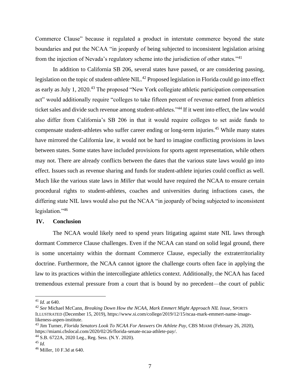Commerce Clause" because it regulated a product in interstate commerce beyond the state boundaries and put the NCAA "in jeopardy of being subjected to inconsistent legislation arising from the injection of Nevada's regulatory scheme into the jurisdiction of other states."<sup>41</sup>

In addition to California SB 206, several states have passed, or are considering passing, legislation on the topic of student-athlete NIL.<sup>42</sup> Proposed legislation in Florida could go into effect as early as July 1, 2020.<sup>43</sup> The proposed "New York collegiate athletic participation compensation act" would additionally require "colleges to take fifteen percent of revenue earned from athletics ticket sales and divide such revenue among student-athletes."<sup>44</sup> If it went into effect, the law would also differ from California's SB 206 in that it would require colleges to set aside funds to compensate student-athletes who suffer career ending or long-term injuries.<sup>45</sup> While many states have mirrored the California law, it would not be hard to imagine conflicting provisions in laws between states. Some states have included provisions for sports agent representation, while others may not. There are already conflicts between the dates that the various state laws would go into effect. Issues such as revenue sharing and funds for student-athlete injuries could conflict as well. Much like the various state laws in *Miller* that would have required the NCAA to ensure certain procedural rights to student-athletes, coaches and universities during infractions cases, the differing state NIL laws would also put the NCAA "in jeopardy of being subjected to inconsistent legislation."<sup>46</sup>

#### **IV. Conclusion**

The NCAA would likely need to spend years litigating against state NIL laws through dormant Commerce Clause challenges. Even if the NCAA can stand on solid legal ground, there is some uncertainty within the dormant Commerce Clause, especially the extraterritoriality doctrine. Furthermore, the NCAA cannot ignore the challenge courts often face in applying the law to its practices within the intercollegiate athletics context. Additionally, the NCAA has faced tremendous external pressure from a court that is bound by no precedent—the court of public

<sup>41</sup> *Id.* at 640.

<sup>42</sup> *See* Michael McCann, *Breaking Down How the NCAA, Mark Emmert Might Approach NIL Issue*, SPORTS ILLUSTRATED (December 15, 2019), https://www.si.com/college/2019/12/15/ncaa-mark-emmert-name-imagelikeness-aspen-institute.

<sup>43</sup> Jim Turner, *Florida Senators Look To NCAA For Answers On Athlete Pay*, CBS MIAMI (February 26, 2020), https://miami.cbslocal.com/2020/02/26/florida-senate-ncaa-athlete-pay/.

<sup>44</sup> S.B. 6722A, 2020 Leg., Reg. Sess. (N.Y. 2020).

<sup>45</sup> *Id.*

<sup>46</sup> Miller, 10 F.3d at 640.